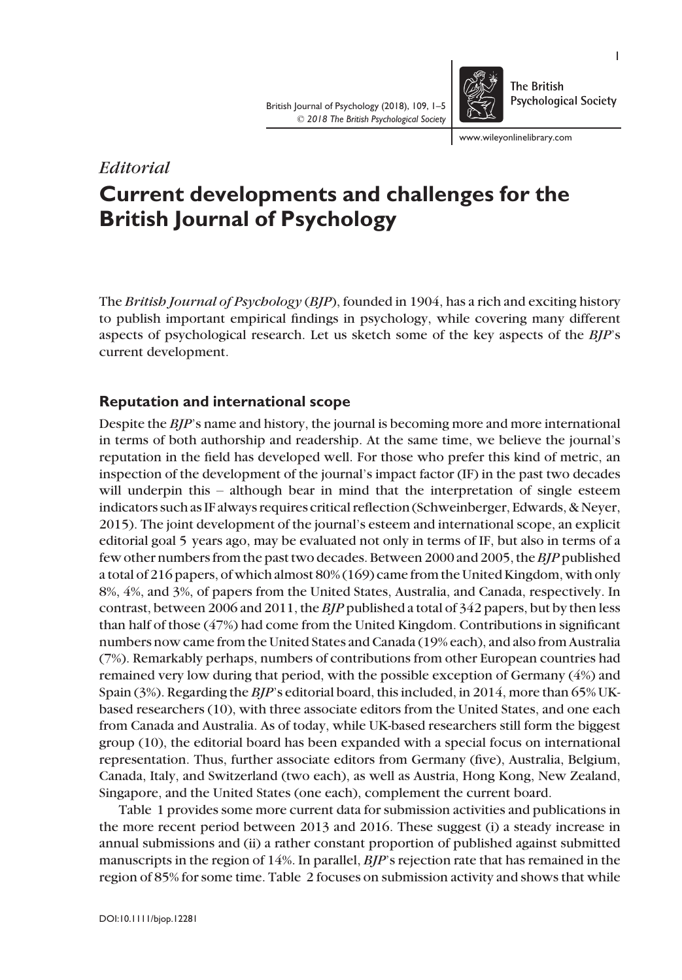British Journal of Psychology (2018), 109, 1–5 © 2018 The British Psychological Society

www.wileyonlinelibrary.com

**The British** 

**Psychological Society** 

# Current developments and challenges for the British Journal of Psychology

The British Journal of Psychology (BJP), founded in 1904, has a rich and exciting history to publish important empirical findings in psychology, while covering many different aspects of psychological research. Let us sketch some of the key aspects of the BJP's current development.

# Reputation and international scope

Editorial

Despite the *BIP*'s name and history, the journal is becoming more and more international in terms of both authorship and readership. At the same time, we believe the journal's reputation in the field has developed well. For those who prefer this kind of metric, an inspection of the development of the journal's impact factor (IF) in the past two decades will underpin this – although bear in mind that the interpretation of single esteem indicators such as IF always requires critical reflection (Schweinberger, Edwards, & Neyer, 2015). The joint development of the journal's esteem and international scope, an explicit editorial goal 5 years ago, may be evaluated not only in terms of IF, but also in terms of a few other numbers from the past two decades. Between 2000 and 2005, theBJP published a total of 216 papers, of which almost 80% (169) came from the United Kingdom, with only 8%, 4%, and 3%, of papers from the United States, Australia, and Canada, respectively. In contrast, between 2006 and 2011, the  $B/P$  published a total of 342 papers, but by then less than half of those (47%) had come from the United Kingdom. Contributions in significant numbers now came from the United States and Canada (19% each), and also from Australia (7%). Remarkably perhaps, numbers of contributions from other European countries had remained very low during that period, with the possible exception of Germany (4%) and Spain (3%). Regarding the BJP's editorial board, this included, in 2014, more than 65% UKbased researchers (10), with three associate editors from the United States, and one each from Canada and Australia. As of today, while UK-based researchers still form the biggest group (10), the editorial board has been expanded with a special focus on international representation. Thus, further associate editors from Germany (five), Australia, Belgium, Canada, Italy, and Switzerland (two each), as well as Austria, Hong Kong, New Zealand, Singapore, and the United States (one each), complement the current board.

Table 1 provides some more current data for submission activities and publications in the more recent period between 2013 and 2016. These suggest (i) a steady increase in annual submissions and (ii) a rather constant proportion of published against submitted manuscripts in the region of 14%. In parallel, BJP's rejection rate that has remained in the region of 85% for some time. Table 2 focuses on submission activity and shows that while

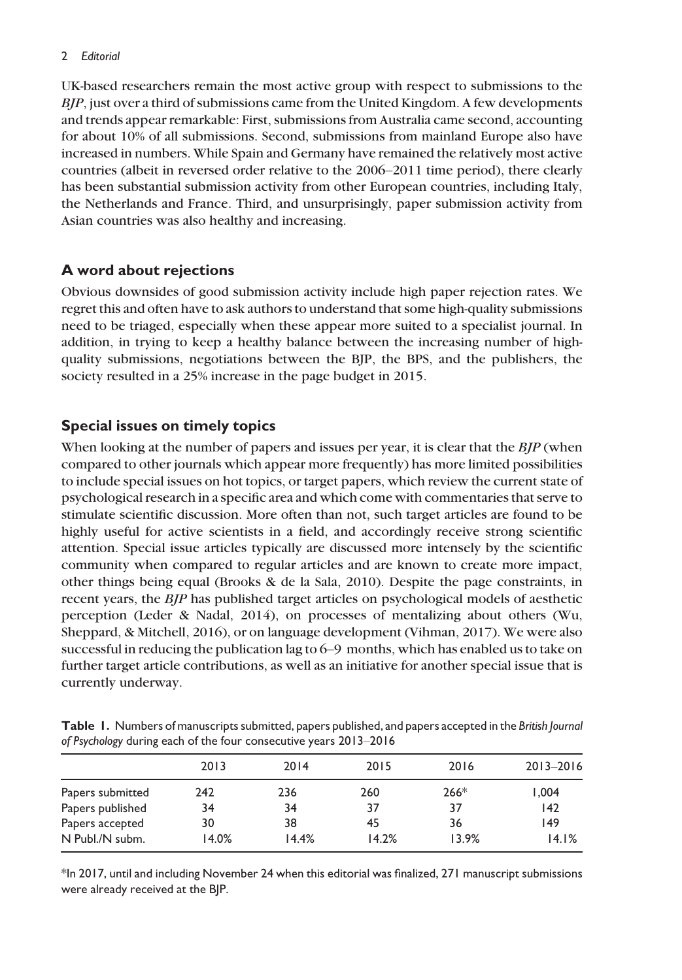#### 2 Editorial

UK-based researchers remain the most active group with respect to submissions to the BJP, just over a third of submissions came from the United Kingdom. A few developments and trends appear remarkable: First, submissions from Australia came second, accounting for about 10% of all submissions. Second, submissions from mainland Europe also have increased in numbers. While Spain and Germany have remained the relatively most active countries (albeit in reversed order relative to the 2006–2011 time period), there clearly has been substantial submission activity from other European countries, including Italy, the Netherlands and France. Third, and unsurprisingly, paper submission activity from Asian countries was also healthy and increasing.

## A word about rejections

Obvious downsides of good submission activity include high paper rejection rates. We regret this and often have to ask authors to understand that some high-quality submissions need to be triaged, especially when these appear more suited to a specialist journal. In addition, in trying to keep a healthy balance between the increasing number of highquality submissions, negotiations between the BJP, the BPS, and the publishers, the society resulted in a 25% increase in the page budget in 2015.

# Special issues on timely topics

When looking at the number of papers and issues per year, it is clear that the  $B/P$  (when compared to other journals which appear more frequently) has more limited possibilities to include special issues on hot topics, or target papers, which review the current state of psychological research in a specific area and which come with commentaries that serve to stimulate scientific discussion. More often than not, such target articles are found to be highly useful for active scientists in a field, and accordingly receive strong scientific attention. Special issue articles typically are discussed more intensely by the scientific community when compared to regular articles and are known to create more impact, other things being equal (Brooks & de la Sala, 2010). Despite the page constraints, in recent years, the BJP has published target articles on psychological models of aesthetic perception (Leder & Nadal, 2014), on processes of mentalizing about others (Wu, Sheppard, & Mitchell, 2016), or on language development (Vihman, 2017). We were also successful in reducing the publication lag to 6–9 months, which has enabled us to take on further target article contributions, as well as an initiative for another special issue that is currently underway.

| of referronced and information and requirement of the state state of the |       |       |       |        |               |  |
|--------------------------------------------------------------------------|-------|-------|-------|--------|---------------|--|
|                                                                          | 2013  | 2014  | 2015  | 2016   | $2013 - 2016$ |  |
| Papers submitted                                                         | 242   | 236   | 260   | $266*$ | 1.004         |  |
| Papers published                                                         | 34    | 34    | 37    | 37     | 142           |  |
| Papers accepted                                                          | 30    | 38    | 45    | 36     | 149           |  |
| N Publ./N subm.                                                          | 14.0% | 14.4% | 14.2% | 13.9%  | 14.1%         |  |

Table 1. Numbers of manuscripts submitted, papers published, and papers accepted in the British Journal of Psychology during each of the four consecutive years 2013–2016

\*In 2017, until and including November 24 when this editorial was finalized, 271 manuscript submissions were already received at the BJP.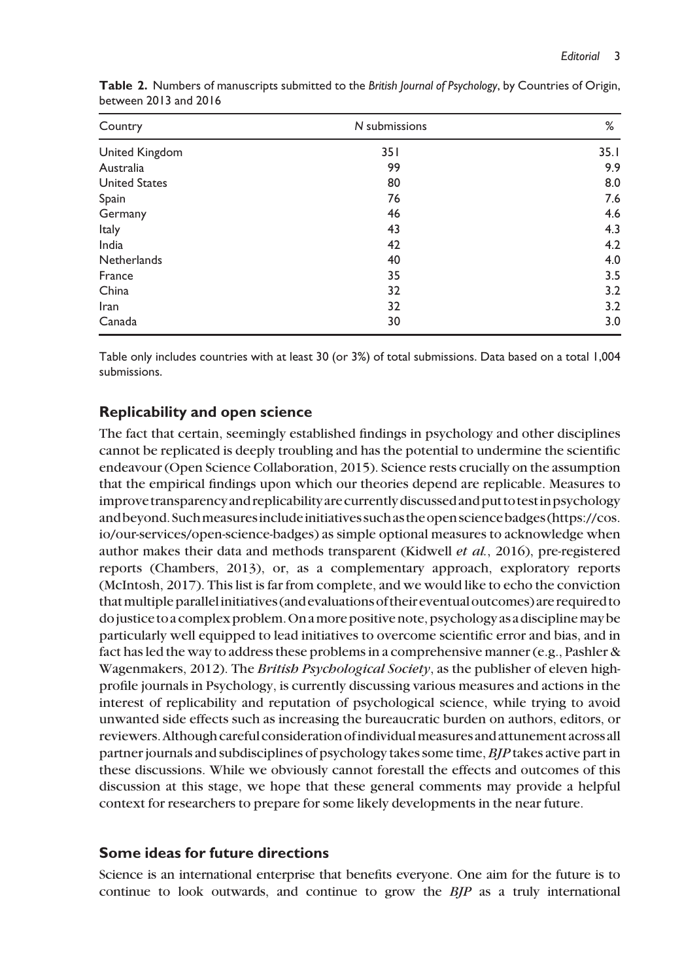| Country              | N submissions | %    |  |
|----------------------|---------------|------|--|
| United Kingdom       | 351           | 35.1 |  |
| Australia            | 99            | 9.9  |  |
| <b>United States</b> | 80            | 8.0  |  |
| Spain                | 76            | 7.6  |  |
| Germany              | 46            | 4.6  |  |
| Italy                | 43            | 4.3  |  |
| India                | 42            | 4.2  |  |
| <b>Netherlands</b>   | 40            | 4.0  |  |
| France               | 35            | 3.5  |  |
| China                | 32            | 3.2  |  |
| Iran                 | 32            | 3.2  |  |
| Canada               | 30            | 3.0  |  |

Table 2. Numbers of manuscripts submitted to the British Journal of Psychology, by Countries of Origin, between 2013 and 2016

Table only includes countries with at least 30 (or 3%) of total submissions. Data based on a total 1,004 submissions.

## Replicability and open science

The fact that certain, seemingly established findings in psychology and other disciplines cannot be replicated is deeply troubling and has the potential to undermine the scientific endeavour (Open Science Collaboration, 2015). Science rests crucially on the assumption that the empirical findings upon which our theories depend are replicable. Measures to improve transparencyand replicabilityarecurrentlydiscussedandput to testinpsychology andbeyond.Suchmeasuresincludeinitiatives suchas theopen science badges [\(https://cos.](https://cos.io/our-services/open-science-badges) [io/our-services/open-science-badges](https://cos.io/our-services/open-science-badges)) as simple optional measures to acknowledge when author makes their data and methods transparent (Kidwell et al., 2016), pre-registered reports (Chambers, 2013), or, as a complementary approach, exploratory reports (McIntosh, 2017). This list is far from complete, and we would like to echo the conviction thatmultiple parallelinitiatives (andevaluations of theireventual outcomes) are required to dojustice to acomplex problem.On amore positive note, psychology as a disciplinemay be particularly well equipped to lead initiatives to overcome scientific error and bias, and in fact has led the way to address these problems in a comprehensive manner (e.g., Pashler & Wagenmakers, 2012). The *British Psychological Society*, as the publisher of eleven highprofile journals in Psychology, is currently discussing various measures and actions in the interest of replicability and reputation of psychological science, while trying to avoid unwanted side effects such as increasing the bureaucratic burden on authors, editors, or reviewers. Although careful consideration of individual measures and attunement across all partner journals and subdisciplines of psychology takes some time, BJP takes active part in these discussions. While we obviously cannot forestall the effects and outcomes of this discussion at this stage, we hope that these general comments may provide a helpful context for researchers to prepare for some likely developments in the near future.

#### Some ideas for future directions

Science is an international enterprise that benefits everyone. One aim for the future is to continue to look outwards, and continue to grow the BJP as a truly international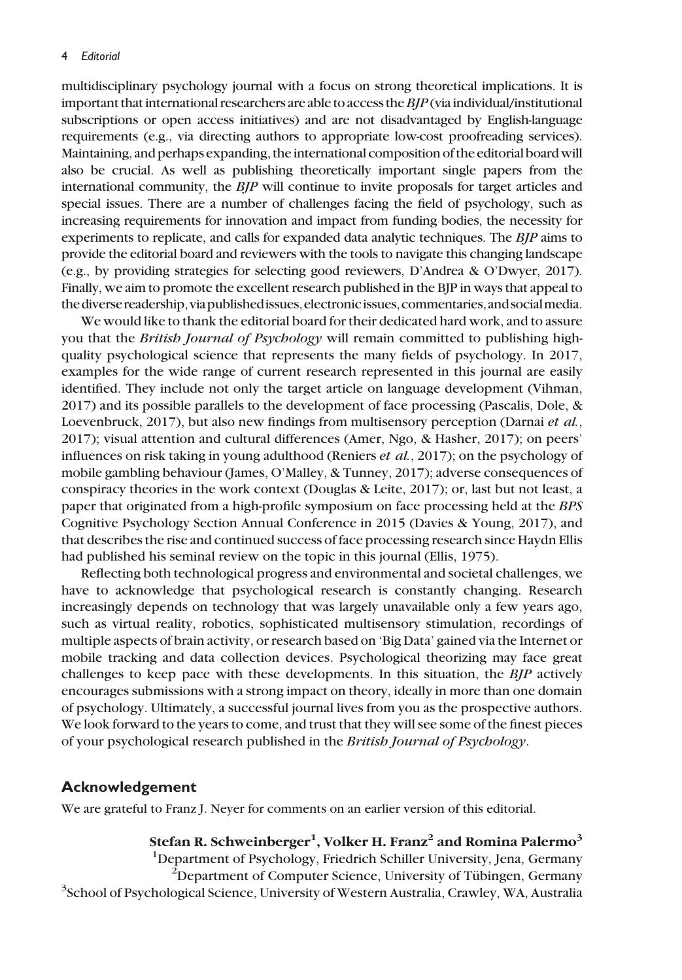multidisciplinary psychology journal with a focus on strong theoretical implications. It is important that international researchers are able to access the  $BIP$  (via individual/institutional subscriptions or open access initiatives) and are not disadvantaged by English-language requirements (e.g., via directing authors to appropriate low-cost proofreading services). Maintaining, and perhaps expanding, the international composition of the editorial board will also be crucial. As well as publishing theoretically important single papers from the international community, the BJP will continue to invite proposals for target articles and special issues. There are a number of challenges facing the field of psychology, such as increasing requirements for innovation and impact from funding bodies, the necessity for experiments to replicate, and calls for expanded data analytic techniques. The BJP aims to provide the editorial board and reviewers with the tools to navigate this changing landscape (e.g., by providing strategies for selecting good reviewers, D'Andrea & O'Dwyer, 2017). Finally, we aim to promote the excellent research published in the BJP in ways that appeal to the diverse readership, via published issues, electronic issues, commentaries, and social media.

We would like to thank the editorial board for their dedicated hard work, and to assure you that the British Journal of Psychology will remain committed to publishing highquality psychological science that represents the many fields of psychology. In 2017, examples for the wide range of current research represented in this journal are easily identified. They include not only the target article on language development (Vihman, 2017) and its possible parallels to the development of face processing (Pascalis, Dole, & Loevenbruck, 2017), but also new findings from multisensory perception (Darnai et al., 2017); visual attention and cultural differences (Amer, Ngo, & Hasher, 2017); on peers' influences on risk taking in young adulthood (Reniers et al., 2017); on the psychology of mobile gambling behaviour (James, O'Malley, & Tunney, 2017); adverse consequences of conspiracy theories in the work context (Douglas & Leite, 2017); or, last but not least, a paper that originated from a high-profile symposium on face processing held at the BPS Cognitive Psychology Section Annual Conference in 2015 (Davies & Young, 2017), and that describes the rise and continued success of face processing research since Haydn Ellis had published his seminal review on the topic in this journal (Ellis, 1975).

Reflecting both technological progress and environmental and societal challenges, we have to acknowledge that psychological research is constantly changing. Research increasingly depends on technology that was largely unavailable only a few years ago, such as virtual reality, robotics, sophisticated multisensory stimulation, recordings of multiple aspects of brain activity, or research based on 'Big Data' gained via the Internet or mobile tracking and data collection devices. Psychological theorizing may face great challenges to keep pace with these developments. In this situation, the BJP actively encourages submissions with a strong impact on theory, ideally in more than one domain of psychology. Ultimately, a successful journal lives from you as the prospective authors. We look forward to the years to come, and trust that they will see some of the finest pieces of your psychological research published in the British Journal of Psychology.

#### Acknowledgement

We are grateful to Franz J. Neyer for comments on an earlier version of this editorial.

Stefan R. Schweinberger $^1$ , Volker H. Franz $^2$  and Romina Palermo $^3$ <sup>1</sup>Department of Psychology, Friedrich Schiller University, Jena, Germany  $P^2$ Department of Computer Science, University of Tübingen, Germany <sup>3</sup>School of Psychological Science, University of Western Australia, Crawley, WA, Australia